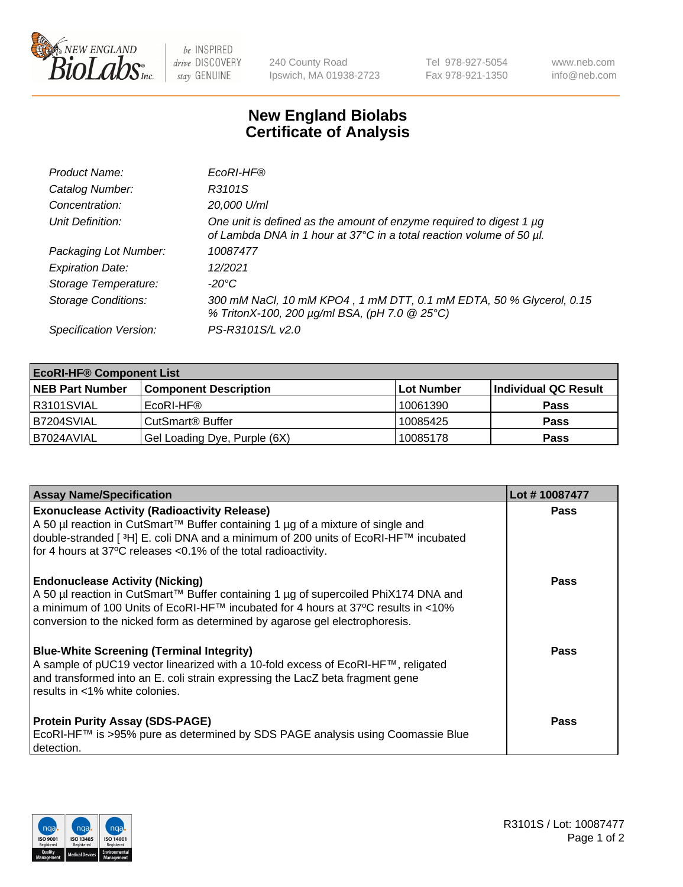

 $be$  INSPIRED drive DISCOVERY stay GENUINE

240 County Road Ipswich, MA 01938-2723 Tel 978-927-5054 Fax 978-921-1350 www.neb.com info@neb.com

## **New England Biolabs Certificate of Analysis**

| Product Name:              | EcoRI-HF®                                                                                                                                   |
|----------------------------|---------------------------------------------------------------------------------------------------------------------------------------------|
| Catalog Number:            | R3101S                                                                                                                                      |
| Concentration:             | 20,000 U/ml                                                                                                                                 |
| Unit Definition:           | One unit is defined as the amount of enzyme required to digest 1 µg<br>of Lambda DNA in 1 hour at 37°C in a total reaction volume of 50 µl. |
| Packaging Lot Number:      | 10087477                                                                                                                                    |
| <b>Expiration Date:</b>    | 12/2021                                                                                                                                     |
| Storage Temperature:       | -20°C                                                                                                                                       |
| <b>Storage Conditions:</b> | 300 mM NaCl, 10 mM KPO4, 1 mM DTT, 0.1 mM EDTA, 50 % Glycerol, 0.15<br>% TritonX-100, 200 µg/ml BSA, (pH 7.0 @ 25°C)                        |
| Specification Version:     | PS-R3101S/L v2.0                                                                                                                            |

| <b>EcoRI-HF® Component List</b> |                              |            |                      |  |  |
|---------------------------------|------------------------------|------------|----------------------|--|--|
| <b>NEB Part Number</b>          | <b>Component Description</b> | Lot Number | Individual QC Result |  |  |
| IR3101SVIAL                     | EcoRI-HF®                    | 10061390   | <b>Pass</b>          |  |  |
| IB7204SVIAL                     | CutSmart <sup>®</sup> Buffer | 10085425   | <b>Pass</b>          |  |  |
| I B7024AVIAL                    | Gel Loading Dye, Purple (6X) | 10085178   | <b>Pass</b>          |  |  |

| <b>Assay Name/Specification</b>                                                                                                                                                                                                                                                                      | Lot #10087477 |
|------------------------------------------------------------------------------------------------------------------------------------------------------------------------------------------------------------------------------------------------------------------------------------------------------|---------------|
| <b>Exonuclease Activity (Radioactivity Release)</b><br>  A 50 µl reaction in CutSmart™ Buffer containing 1 µg of a mixture of single and<br> double-stranded [3H] E. coli DNA and a minimum of 200 units of EcoRI-HF™ incubated<br>for 4 hours at 37°C releases <0.1% of the total radioactivity.    | <b>Pass</b>   |
| <b>Endonuclease Activity (Nicking)</b><br>  A 50 µl reaction in CutSmart™ Buffer containing 1 µg of supercoiled PhiX174 DNA and<br> a minimum of 100 Units of EcoRI-HF™ incubated for 4 hours at 37ºC results in <10%<br>conversion to the nicked form as determined by agarose gel electrophoresis. | <b>Pass</b>   |
| <b>Blue-White Screening (Terminal Integrity)</b><br>A sample of pUC19 vector linearized with a 10-fold excess of EcoRI-HF™, religated<br>and transformed into an E. coli strain expressing the LacZ beta fragment gene<br>results in <1% white colonies.                                             | <b>Pass</b>   |
| <b>Protein Purity Assay (SDS-PAGE)</b><br>EcoRI-HF™ is >95% pure as determined by SDS PAGE analysis using Coomassie Blue<br>detection.                                                                                                                                                               | <b>Pass</b>   |